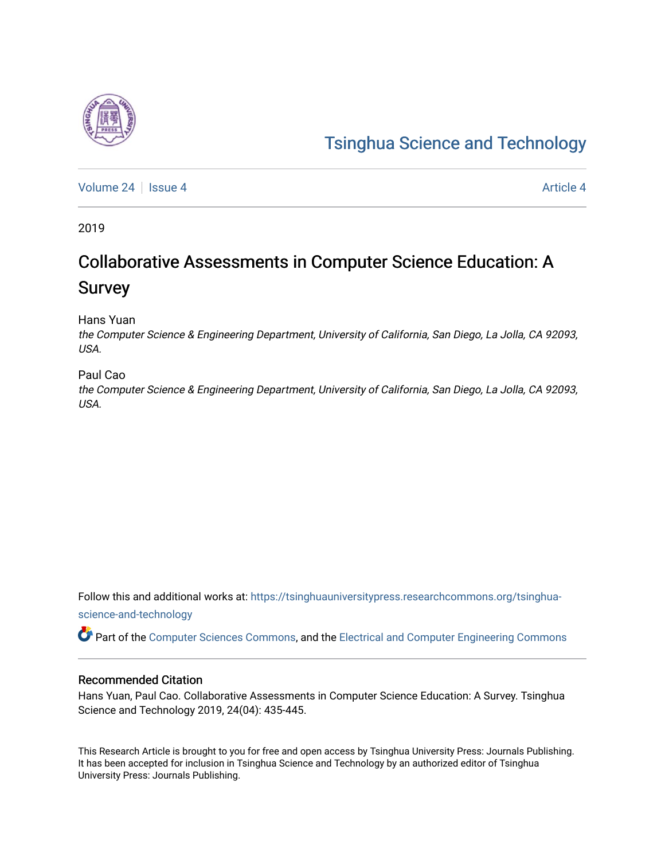# [Tsinghua Science and Technology](https://tsinghuauniversitypress.researchcommons.org/tsinghua-science-and-technology)

[Volume 24](https://tsinghuauniversitypress.researchcommons.org/tsinghua-science-and-technology/vol24) | [Issue 4](https://tsinghuauniversitypress.researchcommons.org/tsinghua-science-and-technology/vol24/iss4) [Article 4](https://tsinghuauniversitypress.researchcommons.org/tsinghua-science-and-technology/vol24/iss4/4) Article 4 Article 4 Article 4 Article 4 Article 4 Article 4

2019

# Collaborative Assessments in Computer Science Education: A Survey

Hans Yuan

the Computer Science & Engineering Department, University of California, San Diego, La Jolla, CA 92093, USA.

# Paul Cao

the Computer Science & Engineering Department, University of California, San Diego, La Jolla, CA 92093, USA.

Follow this and additional works at: [https://tsinghuauniversitypress.researchcommons.org/tsinghua](https://tsinghuauniversitypress.researchcommons.org/tsinghua-science-and-technology?utm_source=tsinghuauniversitypress.researchcommons.org%2Ftsinghua-science-and-technology%2Fvol24%2Fiss4%2F4&utm_medium=PDF&utm_campaign=PDFCoverPages)[science-and-technology](https://tsinghuauniversitypress.researchcommons.org/tsinghua-science-and-technology?utm_source=tsinghuauniversitypress.researchcommons.org%2Ftsinghua-science-and-technology%2Fvol24%2Fiss4%2F4&utm_medium=PDF&utm_campaign=PDFCoverPages)

Part of the [Computer Sciences Commons](http://network.bepress.com/hgg/discipline/142?utm_source=tsinghuauniversitypress.researchcommons.org%2Ftsinghua-science-and-technology%2Fvol24%2Fiss4%2F4&utm_medium=PDF&utm_campaign=PDFCoverPages), and the [Electrical and Computer Engineering Commons](http://network.bepress.com/hgg/discipline/266?utm_source=tsinghuauniversitypress.researchcommons.org%2Ftsinghua-science-and-technology%2Fvol24%2Fiss4%2F4&utm_medium=PDF&utm_campaign=PDFCoverPages)

# Recommended Citation

Hans Yuan, Paul Cao. Collaborative Assessments in Computer Science Education: A Survey. Tsinghua Science and Technology 2019, 24(04): 435-445.

This Research Article is brought to you for free and open access by Tsinghua University Press: Journals Publishing. It has been accepted for inclusion in Tsinghua Science and Technology by an authorized editor of Tsinghua University Press: Journals Publishing.

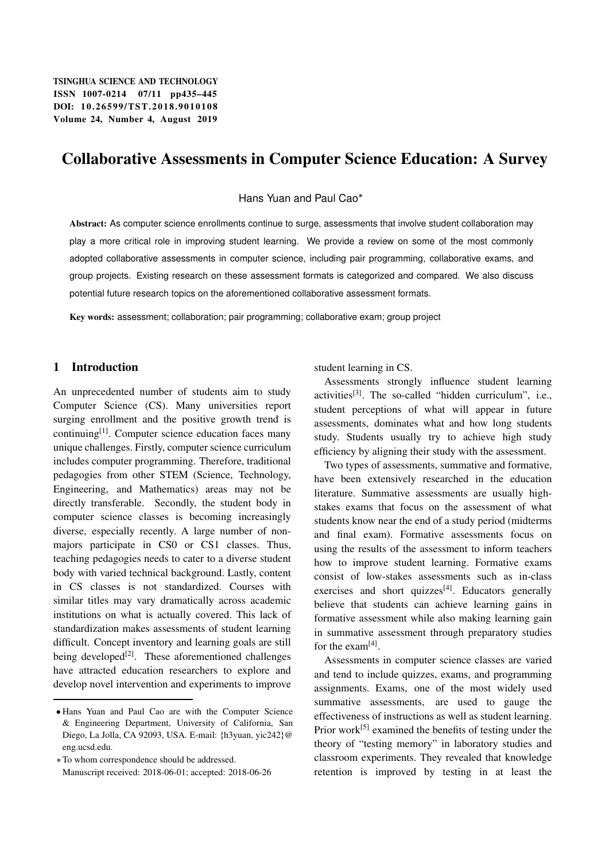# Collaborative Assessments in Computer Science Education: A Survey

Hans Yuan and Paul Cao

Abstract: As computer science enrollments continue to surge, assessments that involve student collaboration may play a more critical role in improving student learning. We provide a review on some of the most commonly adopted collaborative assessments in computer science, including pair programming, collaborative exams, and group projects. Existing research on these assessment formats is categorized and compared. We also discuss potential future research topics on the aforementioned collaborative assessment formats.

Key words: assessment; collaboration; pair programming; collaborative exam; group project

# 1 Introduction

An unprecedented number of students aim to study Computer Science (CS). Many universities report surging enrollment and the positive growth trend is  $\text{continuing}^{[1]}$ . Computer science education faces many unique challenges. Firstly, computer science curriculum includes computer programming. Therefore, traditional pedagogies from other STEM (Science, Technology, Engineering, and Mathematics) areas may not be directly transferable. Secondly, the student body in computer science classes is becoming increasingly diverse, especially recently. A large number of nonmajors participate in CS0 or CS1 classes. Thus, teaching pedagogies needs to cater to a diverse student body with varied technical background. Lastly, content in CS classes is not standardized. Courses with similar titles may vary dramatically across academic institutions on what is actually covered. This lack of standardization makes assessments of student learning difficult. Concept inventory and learning goals are still being developed $[2]$ . These aforementioned challenges have attracted education researchers to explore and develop novel intervention and experiments to improve

student learning in CS.

Assessments strongly influence student learning activities[3]. The so-called "hidden curriculum", i.e., student perceptions of what will appear in future assessments, dominates what and how long students study. Students usually try to achieve high study efficiency by aligning their study with the assessment.

Two types of assessments, summative and formative, have been extensively researched in the education literature. Summative assessments are usually highstakes exams that focus on the assessment of what students know near the end of a study period (midterms and final exam). Formative assessments focus on using the results of the assessment to inform teachers how to improve student learning. Formative exams consist of low-stakes assessments such as in-class exercises and short quizzes<sup>[4]</sup>. Educators generally believe that students can achieve learning gains in formative assessment while also making learning gain in summative assessment through preparatory studies for the  $exam^{[4]}$ .

Assessments in computer science classes are varied and tend to include quizzes, exams, and programming assignments. Exams, one of the most widely used summative assessments, are used to gauge the effectiveness of instructions as well as student learning. Prior work<sup>[5]</sup> examined the benefits of testing under the theory of "testing memory" in laboratory studies and classroom experiments. They revealed that knowledge retention is improved by testing in at least the

Hans Yuan and Paul Cao are with the Computer Science & Engineering Department, University of California, San Diego, La Jolla, CA 92093, USA. E-mail: {h3yuan, yic242}@ eng.ucsd.edu.

To whom correspondence should be addressed. Manuscript received: 2018-06-01; accepted: 2018-06-26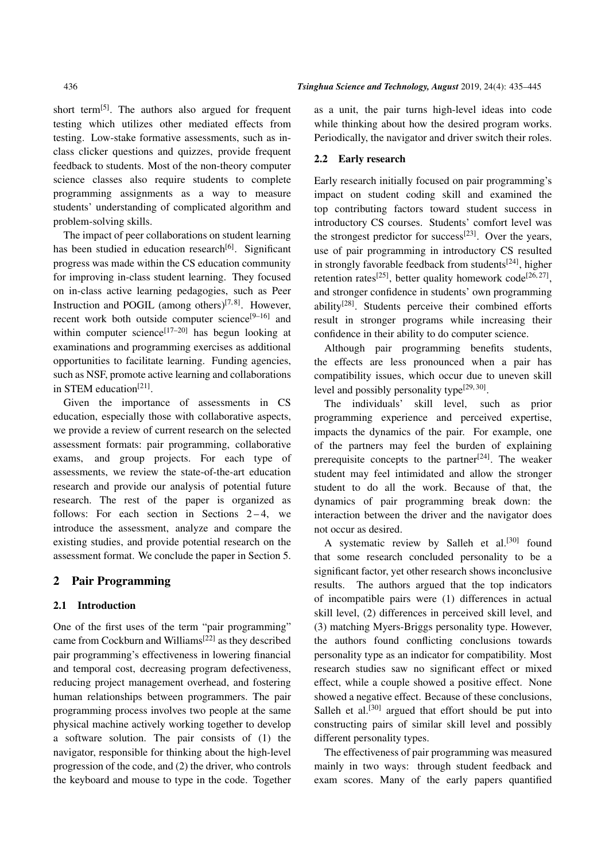short term<sup>[5]</sup>. The authors also argued for frequent testing which utilizes other mediated effects from testing. Low-stake formative assessments, such as inclass clicker questions and quizzes, provide frequent feedback to students. Most of the non-theory computer science classes also require students to complete programming assignments as a way to measure students' understanding of complicated algorithm and problem-solving skills.

The impact of peer collaborations on student learning has been studied in education research $[6]$ . Significant progress was made within the CS education community for improving in-class student learning. They focused on in-class active learning pedagogies, such as Peer Instruction and POGIL (among others) $[7,8]$ . However, recent work both outside computer science $[9-16]$  and within computer science<sup>[17–20]</sup> has begun looking at examinations and programming exercises as additional opportunities to facilitate learning. Funding agencies, such as NSF, promote active learning and collaborations in STEM education<sup>[21]</sup>.

Given the importance of assessments in CS education, especially those with collaborative aspects, we provide a review of current research on the selected assessment formats: pair programming, collaborative exams, and group projects. For each type of assessments, we review the state-of-the-art education research and provide our analysis of potential future research. The rest of the paper is organized as follows: For each section in Sections  $2-4$ , we introduce the assessment, analyze and compare the existing studies, and provide potential research on the assessment format. We conclude the paper in Section 5.

# 2 Pair Programming

#### 2.1 Introduction

One of the first uses of the term "pair programming" came from Cockburn and Williams[22] as they described pair programming's effectiveness in lowering financial and temporal cost, decreasing program defectiveness, reducing project management overhead, and fostering human relationships between programmers. The pair programming process involves two people at the same physical machine actively working together to develop a software solution. The pair consists of (1) the navigator, responsible for thinking about the high-level progression of the code, and (2) the driver, who controls the keyboard and mouse to type in the code. Together as a unit, the pair turns high-level ideas into code while thinking about how the desired program works. Periodically, the navigator and driver switch their roles.

#### 2.2 Early research

Early research initially focused on pair programming's impact on student coding skill and examined the top contributing factors toward student success in introductory CS courses. Students' comfort level was the strongest predictor for success<sup>[23]</sup>. Over the years, use of pair programming in introductory CS resulted in strongly favorable feedback from students $[24]$ , higher retention rates<sup>[25]</sup>, better quality homework code<sup>[26, 27]</sup>, and stronger confidence in students' own programming ability[28]. Students perceive their combined efforts result in stronger programs while increasing their confidence in their ability to do computer science.

Although pair programming benefits students, the effects are less pronounced when a pair has compatibility issues, which occur due to uneven skill level and possibly personality type<sup>[29, 30]</sup>.

The individuals' skill level, such as prior programming experience and perceived expertise, impacts the dynamics of the pair. For example, one of the partners may feel the burden of explaining prerequisite concepts to the partner $[24]$ . The weaker student may feel intimidated and allow the stronger student to do all the work. Because of that, the dynamics of pair programming break down: the interaction between the driver and the navigator does not occur as desired.

A systematic review by Salleh et al.<sup>[30]</sup> found that some research concluded personality to be a significant factor, yet other research shows inconclusive results. The authors argued that the top indicators of incompatible pairs were (1) differences in actual skill level, (2) differences in perceived skill level, and (3) matching Myers-Briggs personality type. However, the authors found conflicting conclusions towards personality type as an indicator for compatibility. Most research studies saw no significant effect or mixed effect, while a couple showed a positive effect. None showed a negative effect. Because of these conclusions, Salleh et al.<sup>[30]</sup> argued that effort should be put into constructing pairs of similar skill level and possibly different personality types.

The effectiveness of pair programming was measured mainly in two ways: through student feedback and exam scores. Many of the early papers quantified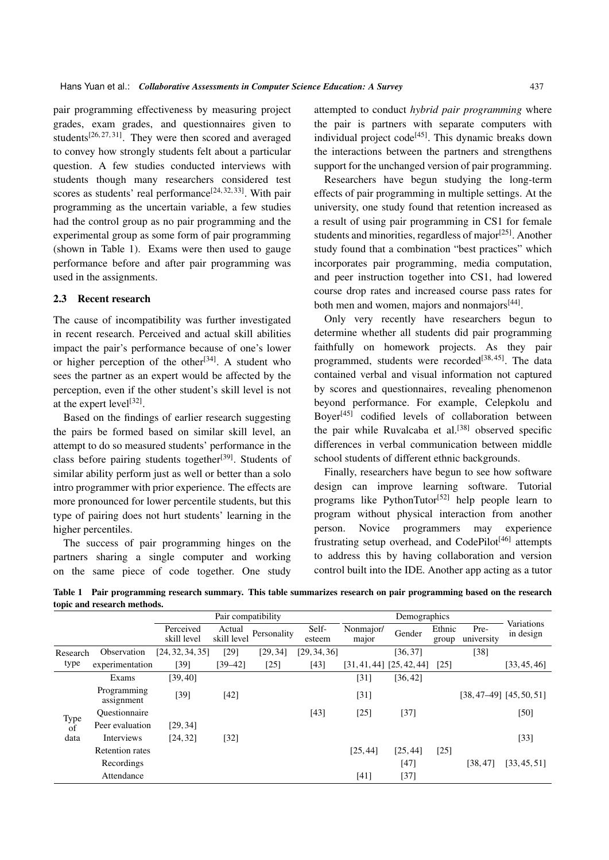pair programming effectiveness by measuring project grades, exam grades, and questionnaires given to students<sup>[26, 27, 31]</sup>. They were then scored and averaged to convey how strongly students felt about a particular question. A few studies conducted interviews with students though many researchers considered test scores as students' real performance<sup>[24, 32, 33]</sup>. With pair programming as the uncertain variable, a few studies had the control group as no pair programming and the experimental group as some form of pair programming (shown in Table 1). Exams were then used to gauge performance before and after pair programming was used in the assignments.

### 2.3 Recent research

The cause of incompatibility was further investigated in recent research. Perceived and actual skill abilities impact the pair's performance because of one's lower or higher perception of the other<sup>[34]</sup>. A student who sees the partner as an expert would be affected by the perception, even if the other student's skill level is not at the expert level $[32]$ .

Based on the findings of earlier research suggesting the pairs be formed based on similar skill level, an attempt to do so measured students' performance in the class before pairing students together<sup>[39]</sup>. Students of similar ability perform just as well or better than a solo intro programmer with prior experience. The effects are more pronounced for lower percentile students, but this type of pairing does not hurt students' learning in the higher percentiles.

The success of pair programming hinges on the partners sharing a single computer and working on the same piece of code together. One study attempted to conduct *hybrid pair programming* where the pair is partners with separate computers with individual project code<sup>[45]</sup>. This dynamic breaks down the interactions between the partners and strengthens support for the unchanged version of pair programming.

Researchers have begun studying the long-term effects of pair programming in multiple settings. At the university, one study found that retention increased as a result of using pair programming in CS1 for female students and minorities, regardless of major $[25]$ . Another study found that a combination "best practices" which incorporates pair programming, media computation, and peer instruction together into CS1, had lowered course drop rates and increased course pass rates for both men and women, majors and nonmajors<sup>[44]</sup>.

Only very recently have researchers begun to determine whether all students did pair programming faithfully on homework projects. As they pair programmed, students were recorded<sup>[38,45]</sup>. The data contained verbal and visual information not captured by scores and questionnaires, revealing phenomenon beyond performance. For example, Celepkolu and Boyer<sup>[45]</sup> codified levels of collaboration between the pair while Ruvalcaba et al. $[38]$  observed specific differences in verbal communication between middle school students of different ethnic backgrounds.

Finally, researchers have begun to see how software design can improve learning software. Tutorial programs like PythonTutor<sup>[52]</sup> help people learn to program without physical interaction from another person. Novice programmers may experience frustrating setup overhead, and  $CodePilot^{[46]}$  attempts to address this by having collaboration and version control built into the IDE. Another app acting as a tutor

Table 1 Pair programming research summary. This table summarizes research on pair programming based on the research topic and research methods.

|                    |                           | Pair compatibility       |                       |             |                 | Demographics       |                               |                 |                    |                              |
|--------------------|---------------------------|--------------------------|-----------------------|-------------|-----------------|--------------------|-------------------------------|-----------------|--------------------|------------------------------|
|                    |                           | Perceived<br>skill level | Actual<br>skill level | Personality | Self-<br>esteem | Nonmajor/<br>major | Gender                        | Ethnic<br>group | Pre-<br>university | Variations<br>in design      |
| Research<br>type   | Observation               | [24, 32, 34, 35]         | [29]                  | [29, 34]    | [29, 34, 36]    |                    | [36, 37]                      |                 | $[38]$             |                              |
|                    | experimentation           | [39]                     | [39–42]               | [25]        | [43]            |                    | $[31, 41, 44]$ $[25, 42, 44]$ | [25]            |                    | [33, 45, 46]                 |
| Type<br>of<br>data | Exams                     | [39, 40]                 |                       |             |                 | $[31]$             | [36, 42]                      |                 |                    |                              |
|                    | Programming<br>assignment | $[39]$                   | [42]                  |             |                 | $[31]$             |                               |                 |                    | $[38, 47-49]$ $[45, 50, 51]$ |
|                    | Ouestionnaire             |                          |                       |             | [43]            | [25]               | $[37]$                        |                 |                    | [50]                         |
|                    | Peer evaluation           | [29, 34]                 |                       |             |                 |                    |                               |                 |                    |                              |
|                    | Interviews                | [24, 32]                 | $[32]$                |             |                 |                    |                               |                 |                    | $\left[33\right]$            |
|                    | <b>Retention</b> rates    |                          |                       |             |                 | [25, 44]           | [25, 44]                      | [25]            |                    |                              |
|                    | Recordings                |                          |                       |             |                 |                    | [47]                          |                 | [38, 47]           | [33, 45, 51]                 |
|                    | Attendance                |                          |                       |             |                 | [41]               | $[37]$                        |                 |                    |                              |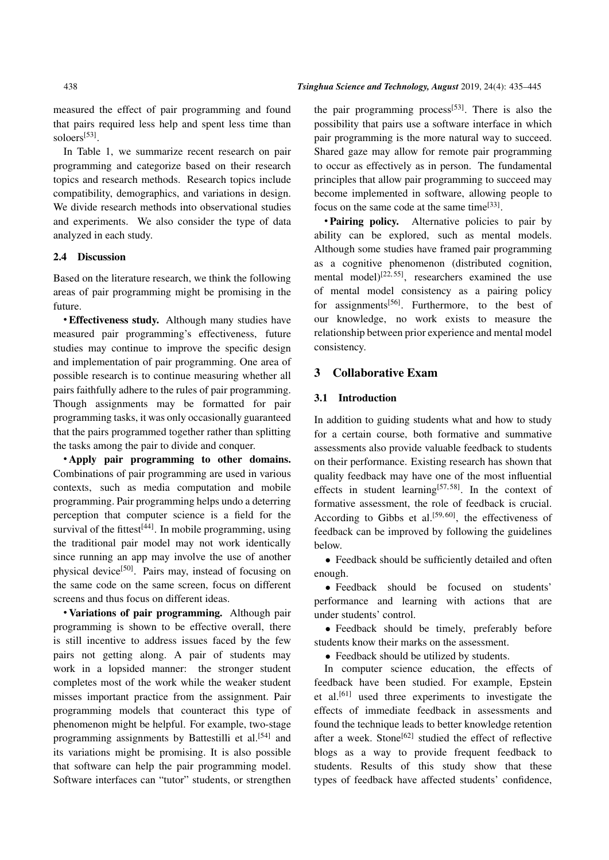measured the effect of pair programming and found that pairs required less help and spent less time than soloers<sup>[53]</sup>.

In Table 1, we summarize recent research on pair programming and categorize based on their research topics and research methods. Research topics include compatibility, demographics, and variations in design. We divide research methods into observational studies and experiments. We also consider the type of data analyzed in each study.

#### 2.4 Discussion

Based on the literature research, we think the following areas of pair programming might be promising in the future.

 Effectiveness study. Although many studies have measured pair programming's effectiveness, future studies may continue to improve the specific design and implementation of pair programming. One area of possible research is to continue measuring whether all pairs faithfully adhere to the rules of pair programming. Though assignments may be formatted for pair programming tasks, it was only occasionally guaranteed that the pairs programmed together rather than splitting the tasks among the pair to divide and conquer.

 Apply pair programming to other domains. Combinations of pair programming are used in various contexts, such as media computation and mobile programming. Pair programming helps undo a deterring perception that computer science is a field for the survival of the fittest $[44]$ . In mobile programming, using the traditional pair model may not work identically since running an app may involve the use of another physical device[50]. Pairs may, instead of focusing on the same code on the same screen, focus on different screens and thus focus on different ideas.

 Variations of pair programming. Although pair programming is shown to be effective overall, there is still incentive to address issues faced by the few pairs not getting along. A pair of students may work in a lopsided manner: the stronger student completes most of the work while the weaker student misses important practice from the assignment. Pair programming models that counteract this type of phenomenon might be helpful. For example, two-stage programming assignments by Battestilli et al.<sup>[54]</sup> and its variations might be promising. It is also possible that software can help the pair programming model. Software interfaces can "tutor" students, or strengthen the pair programming process<sup>[53]</sup>. There is also the possibility that pairs use a software interface in which pair programming is the more natural way to succeed. Shared gaze may allow for remote pair programming to occur as effectively as in person. The fundamental principles that allow pair programming to succeed may become implemented in software, allowing people to focus on the same code at the same time<sup>[33]</sup>.

• Pairing policy. Alternative policies to pair by ability can be explored, such as mental models. Although some studies have framed pair programming as a cognitive phenomenon (distributed cognition, mental model)<sup>[22, 55]</sup>, researchers examined the use of mental model consistency as a pairing policy for assignments<sup>[56]</sup>. Furthermore, to the best of our knowledge, no work exists to measure the relationship between prior experience and mental model consistency.

# 3 Collaborative Exam

# 3.1 Introduction

In addition to guiding students what and how to study for a certain course, both formative and summative assessments also provide valuable feedback to students on their performance. Existing research has shown that quality feedback may have one of the most influential effects in student learning<sup>[57,58]</sup>. In the context of formative assessment, the role of feedback is crucial. According to Gibbs et al.<sup>[59,60]</sup>, the effectiveness of feedback can be improved by following the guidelines below.

 Feedback should be sufficiently detailed and often enough.

 Feedback should be focused on students' performance and learning with actions that are under students' control.

 Feedback should be timely, preferably before students know their marks on the assessment.

• Feedback should be utilized by students.

In computer science education, the effects of feedback have been studied. For example, Epstein et al.<sup>[61]</sup> used three experiments to investigate the effects of immediate feedback in assessments and found the technique leads to better knowledge retention after a week. Stone<sup>[62]</sup> studied the effect of reflective blogs as a way to provide frequent feedback to students. Results of this study show that these types of feedback have affected students' confidence,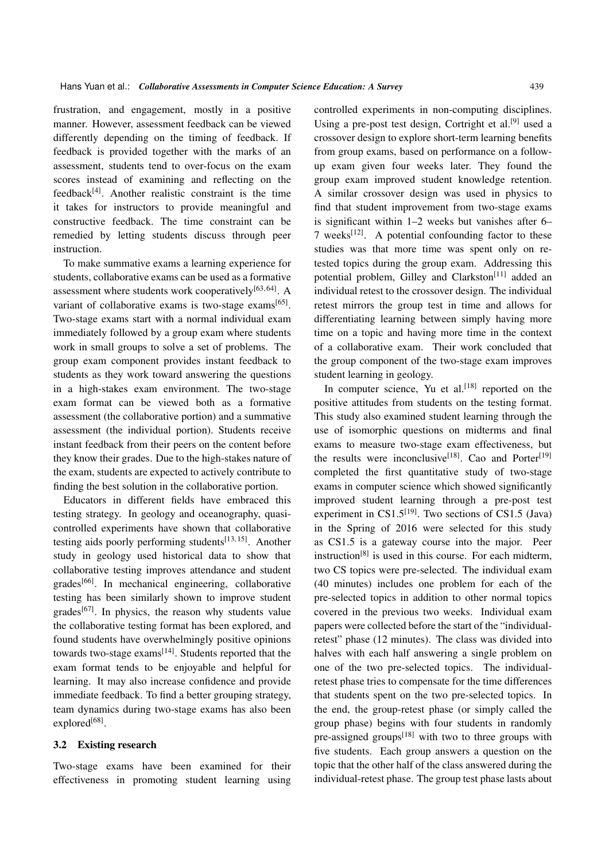frustration, and engagement, mostly in a positive manner. However, assessment feedback can be viewed differently depending on the timing of feedback. If feedback is provided together with the marks of an assessment, students tend to over-focus on the exam scores instead of examining and reflecting on the  $feedback^{[4]}$ . Another realistic constraint is the time it takes for instructors to provide meaningful and constructive feedback. The time constraint can be remedied by letting students discuss through peer instruction.

To make summative exams a learning experience for students, collaborative exams can be used as a formative assessment where students work cooperatively $[63, 64]$ . A variant of collaborative exams is two-stage exams<sup>[65]</sup>. Two-stage exams start with a normal individual exam immediately followed by a group exam where students work in small groups to solve a set of problems. The group exam component provides instant feedback to students as they work toward answering the questions in a high-stakes exam environment. The two-stage exam format can be viewed both as a formative assessment (the collaborative portion) and a summative assessment (the individual portion). Students receive instant feedback from their peers on the content before they know their grades. Due to the high-stakes nature of the exam, students are expected to actively contribute to finding the best solution in the collaborative portion.

Educators in different fields have embraced this testing strategy. In geology and oceanography, quasicontrolled experiments have shown that collaborative testing aids poorly performing students<sup>[13, 15]</sup>. Another study in geology used historical data to show that collaborative testing improves attendance and student  $grades<sup>[66]</sup>$ . In mechanical engineering, collaborative testing has been similarly shown to improve student grades $[67]$ . In physics, the reason why students value the collaborative testing format has been explored, and found students have overwhelmingly positive opinions towards two-stage exams<sup>[14]</sup>. Students reported that the exam format tends to be enjoyable and helpful for learning. It may also increase confidence and provide immediate feedback. To find a better grouping strategy, team dynamics during two-stage exams has also been explored<sup>[68]</sup>.

#### 3.2 Existing research

Two-stage exams have been examined for their effectiveness in promoting student learning using controlled experiments in non-computing disciplines. Using a pre-post test design, Cortright et al.<sup>[9]</sup> used a crossover design to explore short-term learning benefits from group exams, based on performance on a followup exam given four weeks later. They found the group exam improved student knowledge retention. A similar crossover design was used in physics to find that student improvement from two-stage exams is significant within 1–2 weeks but vanishes after 6– 7 weeks<sup>[12]</sup>. A potential confounding factor to these studies was that more time was spent only on retested topics during the group exam. Addressing this potential problem, Gilley and Clarkston<sup>[11]</sup> added an individual retest to the crossover design. The individual retest mirrors the group test in time and allows for differentiating learning between simply having more time on a topic and having more time in the context of a collaborative exam. Their work concluded that the group component of the two-stage exam improves student learning in geology.

In computer science, Yu et al.<sup>[18]</sup> reported on the positive attitudes from students on the testing format. This study also examined student learning through the use of isomorphic questions on midterms and final exams to measure two-stage exam effectiveness, but the results were inconclusive<sup>[18]</sup>. Cao and Porter<sup>[19]</sup> completed the first quantitative study of two-stage exams in computer science which showed significantly improved student learning through a pre-post test experiment in  $CS1.5^{[19]}$ . Two sections of CS1.5 (Java) in the Spring of 2016 were selected for this study as CS1.5 is a gateway course into the major. Peer instruction<sup>[8]</sup> is used in this course. For each midterm, two CS topics were pre-selected. The individual exam (40 minutes) includes one problem for each of the pre-selected topics in addition to other normal topics covered in the previous two weeks. Individual exam papers were collected before the start of the "individualretest" phase (12 minutes). The class was divided into halves with each half answering a single problem on one of the two pre-selected topics. The individualretest phase tries to compensate for the time differences that students spent on the two pre-selected topics. In the end, the group-retest phase (or simply called the group phase) begins with four students in randomly pre-assigned groups<sup>[18]</sup> with two to three groups with five students. Each group answers a question on the topic that the other half of the class answered during the individual-retest phase. The group test phase lasts about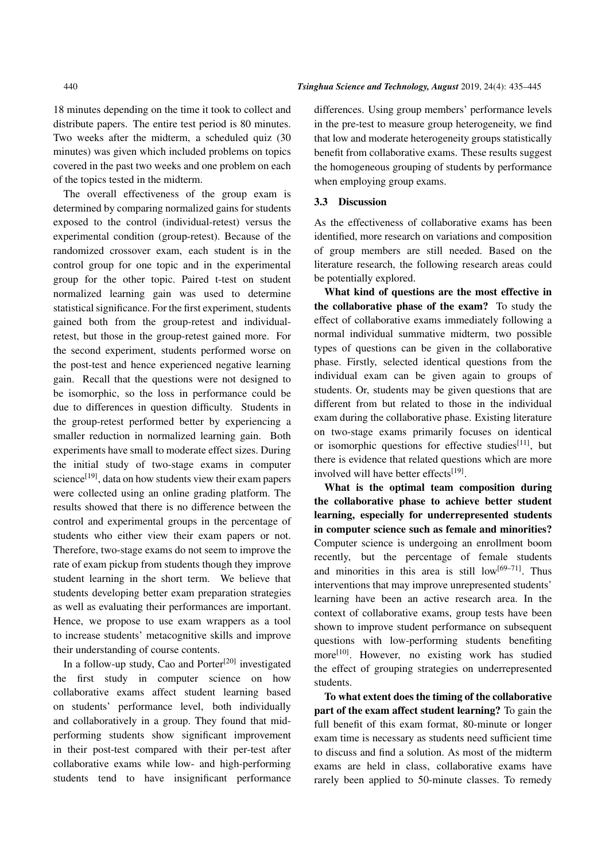18 minutes depending on the time it took to collect and distribute papers. The entire test period is 80 minutes. Two weeks after the midterm, a scheduled quiz (30 minutes) was given which included problems on topics covered in the past two weeks and one problem on each of the topics tested in the midterm.

The overall effectiveness of the group exam is determined by comparing normalized gains for students exposed to the control (individual-retest) versus the experimental condition (group-retest). Because of the randomized crossover exam, each student is in the control group for one topic and in the experimental group for the other topic. Paired t-test on student normalized learning gain was used to determine statistical significance. For the first experiment, students gained both from the group-retest and individualretest, but those in the group-retest gained more. For the second experiment, students performed worse on the post-test and hence experienced negative learning gain. Recall that the questions were not designed to be isomorphic, so the loss in performance could be due to differences in question difficulty. Students in the group-retest performed better by experiencing a smaller reduction in normalized learning gain. Both experiments have small to moderate effect sizes. During the initial study of two-stage exams in computer science<sup>[19]</sup>, data on how students view their exam papers were collected using an online grading platform. The results showed that there is no difference between the control and experimental groups in the percentage of students who either view their exam papers or not. Therefore, two-stage exams do not seem to improve the rate of exam pickup from students though they improve student learning in the short term. We believe that students developing better exam preparation strategies as well as evaluating their performances are important. Hence, we propose to use exam wrappers as a tool to increase students' metacognitive skills and improve their understanding of course contents.

In a follow-up study, Cao and Porter<sup>[20]</sup> investigated the first study in computer science on how collaborative exams affect student learning based on students' performance level, both individually and collaboratively in a group. They found that midperforming students show significant improvement in their post-test compared with their per-test after collaborative exams while low- and high-performing students tend to have insignificant performance

#### 440 *Tsinghua Science and Technology, August* 2019, 24(4): 435–445

differences. Using group members' performance levels in the pre-test to measure group heterogeneity, we find that low and moderate heterogeneity groups statistically benefit from collaborative exams. These results suggest the homogeneous grouping of students by performance when employing group exams.

# 3.3 Discussion

As the effectiveness of collaborative exams has been identified, more research on variations and composition of group members are still needed. Based on the literature research, the following research areas could be potentially explored.

What kind of questions are the most effective in the collaborative phase of the exam? To study the effect of collaborative exams immediately following a normal individual summative midterm, two possible types of questions can be given in the collaborative phase. Firstly, selected identical questions from the individual exam can be given again to groups of students. Or, students may be given questions that are different from but related to those in the individual exam during the collaborative phase. Existing literature on two-stage exams primarily focuses on identical or isomorphic questions for effective studies $[11]$ , but there is evidence that related questions which are more involved will have better effects<sup>[19]</sup>.

What is the optimal team composition during the collaborative phase to achieve better student learning, especially for underrepresented students in computer science such as female and minorities? Computer science is undergoing an enrollment boom recently, but the percentage of female students and minorities in this area is still  $low^{[69-71]}$ . Thus interventions that may improve unrepresented students' learning have been an active research area. In the context of collaborative exams, group tests have been shown to improve student performance on subsequent questions with low-performing students benefiting more[10]. However, no existing work has studied the effect of grouping strategies on underrepresented students.

To what extent does the timing of the collaborative part of the exam affect student learning? To gain the full benefit of this exam format, 80-minute or longer exam time is necessary as students need sufficient time to discuss and find a solution. As most of the midterm exams are held in class, collaborative exams have rarely been applied to 50-minute classes. To remedy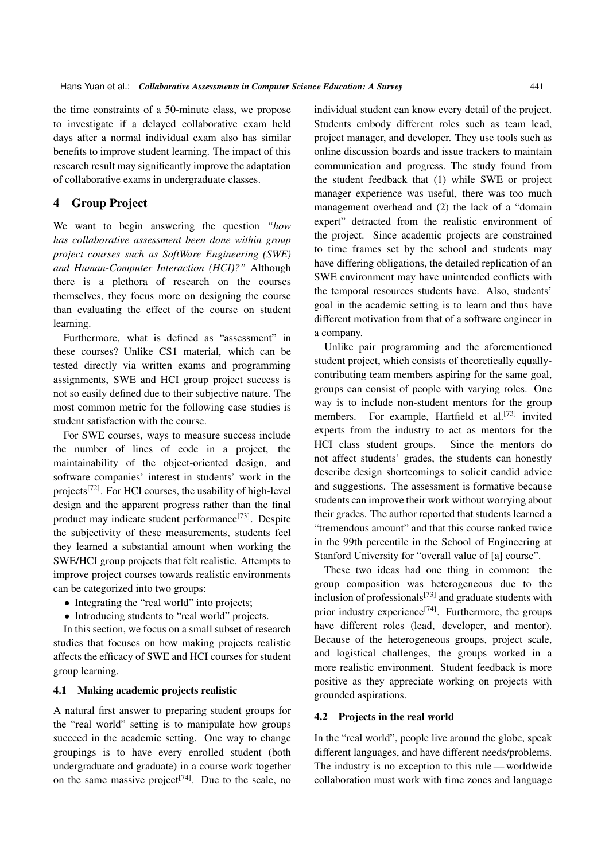the time constraints of a 50-minute class, we propose to investigate if a delayed collaborative exam held days after a normal individual exam also has similar benefits to improve student learning. The impact of this research result may significantly improve the adaptation of collaborative exams in undergraduate classes.

# 4 Group Project

We want to begin answering the question *"how has collaborative assessment been done within group project courses such as SoftWare Engineering (SWE) and Human-Computer Interaction (HCI)?"* Although there is a plethora of research on the courses themselves, they focus more on designing the course than evaluating the effect of the course on student learning.

Furthermore, what is defined as "assessment" in these courses? Unlike CS1 material, which can be tested directly via written exams and programming assignments, SWE and HCI group project success is not so easily defined due to their subjective nature. The most common metric for the following case studies is student satisfaction with the course.

For SWE courses, ways to measure success include the number of lines of code in a project, the maintainability of the object-oriented design, and software companies' interest in students' work in the projects[72]. For HCI courses, the usability of high-level design and the apparent progress rather than the final product may indicate student performance<sup>[73]</sup>. Despite the subjectivity of these measurements, students feel they learned a substantial amount when working the SWE/HCI group projects that felt realistic. Attempts to improve project courses towards realistic environments can be categorized into two groups:

- Integrating the "real world" into projects;
- Introducing students to "real world" projects.

In this section, we focus on a small subset of research studies that focuses on how making projects realistic affects the efficacy of SWE and HCI courses for student group learning.

### 4.1 Making academic projects realistic

A natural first answer to preparing student groups for the "real world" setting is to manipulate how groups succeed in the academic setting. One way to change groupings is to have every enrolled student (both undergraduate and graduate) in a course work together on the same massive project<sup>[74]</sup>. Due to the scale, no individual student can know every detail of the project. Students embody different roles such as team lead, project manager, and developer. They use tools such as online discussion boards and issue trackers to maintain communication and progress. The study found from the student feedback that (1) while SWE or project manager experience was useful, there was too much management overhead and (2) the lack of a "domain expert" detracted from the realistic environment of the project. Since academic projects are constrained to time frames set by the school and students may have differing obligations, the detailed replication of an SWE environment may have unintended conflicts with the temporal resources students have. Also, students' goal in the academic setting is to learn and thus have different motivation from that of a software engineer in a company.

Unlike pair programming and the aforementioned student project, which consists of theoretically equallycontributing team members aspiring for the same goal, groups can consist of people with varying roles. One way is to include non-student mentors for the group members. For example, Hartfield et al.<sup>[73]</sup> invited experts from the industry to act as mentors for the HCI class student groups. Since the mentors do not affect students' grades, the students can honestly describe design shortcomings to solicit candid advice and suggestions. The assessment is formative because students can improve their work without worrying about their grades. The author reported that students learned a "tremendous amount" and that this course ranked twice in the 99th percentile in the School of Engineering at Stanford University for "overall value of [a] course".

These two ideas had one thing in common: the group composition was heterogeneous due to the inclusion of professionals $[73]$  and graduate students with prior industry experience<sup>[74]</sup>. Furthermore, the groups have different roles (lead, developer, and mentor). Because of the heterogeneous groups, project scale, and logistical challenges, the groups worked in a more realistic environment. Student feedback is more positive as they appreciate working on projects with grounded aspirations.

### 4.2 Projects in the real world

In the "real world", people live around the globe, speak different languages, and have different needs/problems. The industry is no exception to this rule — worldwide collaboration must work with time zones and language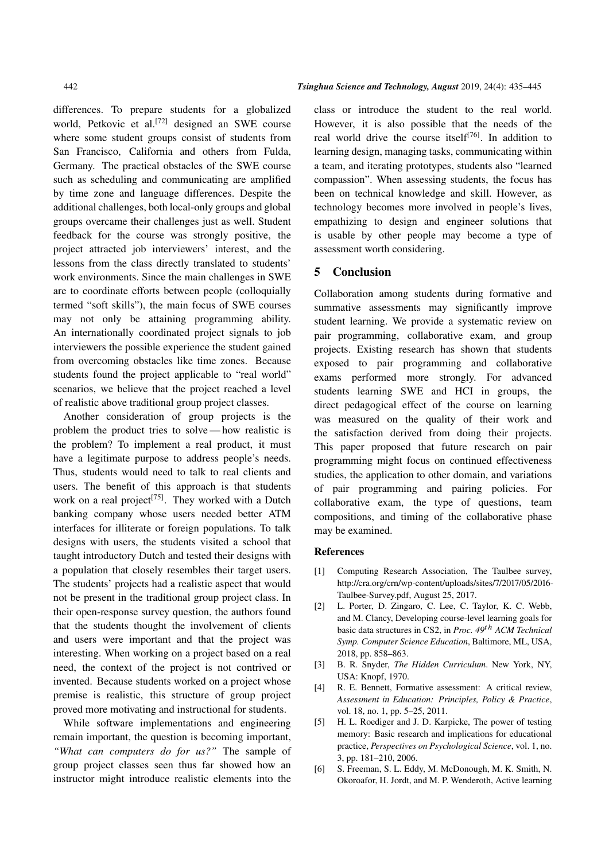differences. To prepare students for a globalized world, Petkovic et al.<sup>[72]</sup> designed an SWE course where some student groups consist of students from San Francisco, California and others from Fulda, Germany. The practical obstacles of the SWE course such as scheduling and communicating are amplified by time zone and language differences. Despite the additional challenges, both local-only groups and global groups overcame their challenges just as well. Student feedback for the course was strongly positive, the project attracted job interviewers' interest, and the lessons from the class directly translated to students' work environments. Since the main challenges in SWE are to coordinate efforts between people (colloquially termed "soft skills"), the main focus of SWE courses may not only be attaining programming ability. An internationally coordinated project signals to job interviewers the possible experience the student gained from overcoming obstacles like time zones. Because students found the project applicable to "real world" scenarios, we believe that the project reached a level of realistic above traditional group project classes.

Another consideration of group projects is the problem the product tries to solve — how realistic is the problem? To implement a real product, it must have a legitimate purpose to address people's needs. Thus, students would need to talk to real clients and users. The benefit of this approach is that students work on a real project<sup>[75]</sup>. They worked with a Dutch banking company whose users needed better ATM interfaces for illiterate or foreign populations. To talk designs with users, the students visited a school that taught introductory Dutch and tested their designs with a population that closely resembles their target users. The students' projects had a realistic aspect that would not be present in the traditional group project class. In their open-response survey question, the authors found that the students thought the involvement of clients and users were important and that the project was interesting. When working on a project based on a real need, the context of the project is not contrived or invented. Because students worked on a project whose premise is realistic, this structure of group project proved more motivating and instructional for students.

While software implementations and engineering remain important, the question is becoming important, *"What can computers do for us?"* The sample of group project classes seen thus far showed how an instructor might introduce realistic elements into the

class or introduce the student to the real world. However, it is also possible that the needs of the real world drive the course itself<sup>[76]</sup>. In addition to learning design, managing tasks, communicating within a team, and iterating prototypes, students also "learned compassion". When assessing students, the focus has been on technical knowledge and skill. However, as technology becomes more involved in people's lives, empathizing to design and engineer solutions that is usable by other people may become a type of assessment worth considering.

### 5 Conclusion

Collaboration among students during formative and summative assessments may significantly improve student learning. We provide a systematic review on pair programming, collaborative exam, and group projects. Existing research has shown that students exposed to pair programming and collaborative exams performed more strongly. For advanced students learning SWE and HCI in groups, the direct pedagogical effect of the course on learning was measured on the quality of their work and the satisfaction derived from doing their projects. This paper proposed that future research on pair programming might focus on continued effectiveness studies, the application to other domain, and variations of pair programming and pairing policies. For collaborative exam, the type of questions, team compositions, and timing of the collaborative phase may be examined.

#### References

- [1] Computing Research Association, The Taulbee survey, http://cra.org/crn/wp-content/uploads/sites/7/2017/05/2016- Taulbee-Survey.pdf, August 25, 2017.
- [2] L. Porter, D. Zingaro, C. Lee, C. Taylor, K. C. Webb, and M. Clancy, Developing course-level learning goals for basic data structures in CS2, in *Proc. 49*th *ACM Technical Symp. Computer Science Education*, Baltimore, ML, USA, 2018, pp. 858–863.
- [3] B. R. Snyder, *The Hidden Curriculum*. New York, NY, USA: Knopf, 1970.
- [4] R. E. Bennett, Formative assessment: A critical review, *Assessment in Education: Principles, Policy & Practice*, vol. 18, no. 1, pp. 5–25, 2011.
- [5] H. L. Roediger and J. D. Karpicke, The power of testing memory: Basic research and implications for educational practice, *Perspectives on Psychological Science*, vol. 1, no. 3, pp. 181–210, 2006.
- [6] S. Freeman, S. L. Eddy, M. McDonough, M. K. Smith, N. Okoroafor, H. Jordt, and M. P. Wenderoth, Active learning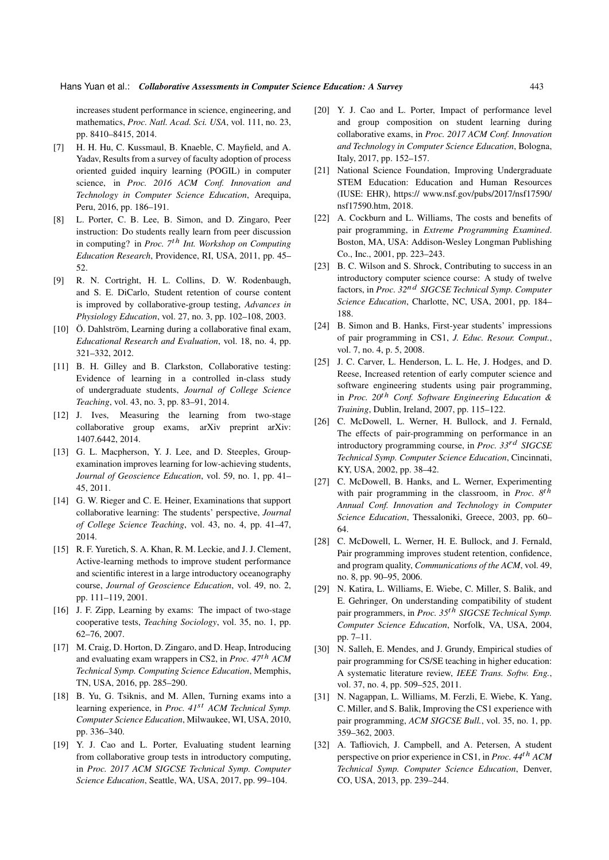increases student performance in science, engineering, and mathematics, *Proc. Natl. Acad. Sci. USA*, vol. 111, no. 23, pp. 8410–8415, 2014.

- [7] H. H. Hu, C. Kussmaul, B. Knaeble, C. Mayfield, and A. Yadav, Results from a survey of faculty adoption of process oriented guided inquiry learning (POGIL) in computer science, in *Proc. 2016 ACM Conf. Innovation and Technology in Computer Science Education*, Arequipa, Peru, 2016, pp. 186–191.
- [8] L. Porter, C. B. Lee, B. Simon, and D. Zingaro, Peer instruction: Do students really learn from peer discussion in computing? in *Proc. 7*th *Int. Workshop on Computing Education Research*, Providence, RI, USA, 2011, pp. 45– 52.
- [9] R. N. Cortright, H. L. Collins, D. W. Rodenbaugh, and S. E. DiCarlo, Student retention of course content is improved by collaborative-group testing, *Advances in Physiology Education*, vol. 27, no. 3, pp. 102–108, 2003.
- [10] Ö. Dahlström, Learning during a collaborative final exam, *Educational Research and Evaluation*, vol. 18, no. 4, pp. 321–332, 2012.
- [11] B. H. Gilley and B. Clarkston, Collaborative testing: Evidence of learning in a controlled in-class study of undergraduate students, *Journal of College Science Teaching*, vol. 43, no. 3, pp. 83–91, 2014.
- [12] J. Ives, Measuring the learning from two-stage collaborative group exams, arXiv preprint arXiv: 1407.6442, 2014.
- [13] G. L. Macpherson, Y. J. Lee, and D. Steeples, Groupexamination improves learning for low-achieving students, *Journal of Geoscience Education*, vol. 59, no. 1, pp. 41– 45, 2011.
- [14] G. W. Rieger and C. E. Heiner, Examinations that support collaborative learning: The students' perspective, *Journal of College Science Teaching*, vol. 43, no. 4, pp. 41–47, 2014.
- [15] R. F. Yuretich, S. A. Khan, R. M. Leckie, and J. J. Clement, Active-learning methods to improve student performance and scientific interest in a large introductory oceanography course, *Journal of Geoscience Education*, vol. 49, no. 2, pp. 111–119, 2001.
- [16] J. F. Zipp, Learning by exams: The impact of two-stage cooperative tests, *Teaching Sociology*, vol. 35, no. 1, pp. 62–76, 2007.
- [17] M. Craig, D. Horton, D. Zingaro, and D. Heap, Introducing and evaluating exam wrappers in CS2, in *Proc. 47*th *ACM Technical Symp. Computing Science Education*, Memphis, TN, USA, 2016, pp. 285–290.
- [18] B. Yu, G. Tsiknis, and M. Allen, Turning exams into a learning experience, in *Proc. 41*st *ACM Technical Symp. Computer Science Education*, Milwaukee, WI, USA, 2010, pp. 336–340.
- [19] Y. J. Cao and L. Porter, Evaluating student learning from collaborative group tests in introductory computing, in *Proc. 2017 ACM SIGCSE Technical Symp. Computer Science Education*, Seattle, WA, USA, 2017, pp. 99–104.
- [20] Y. J. Cao and L. Porter, Impact of performance level and group composition on student learning during collaborative exams, in *Proc. 2017 ACM Conf. Innovation and Technology in Computer Science Education*, Bologna, Italy, 2017, pp. 152–157.
- [21] National Science Foundation, Improving Undergraduate STEM Education: Education and Human Resources (IUSE: EHR), https:// www.nsf.gov/pubs/2017/nsf17590/ nsf17590.htm, 2018.
- [22] A. Cockburn and L. Williams, The costs and benefits of pair programming, in *Extreme Programming Examined*. Boston, MA, USA: Addison-Wesley Longman Publishing Co., Inc., 2001, pp. 223–243.
- [23] B. C. Wilson and S. Shrock, Contributing to success in an introductory computer science course: A study of twelve factors, in *Proc. 32*nd *SIGCSE Technical Symp. Computer Science Education*, Charlotte, NC, USA, 2001, pp. 184– 188.
- [24] B. Simon and B. Hanks, First-year students' impressions of pair programming in CS1, *J. Educ. Resour. Comput.*, vol. 7, no. 4, p. 5, 2008.
- [25] J. C. Carver, L. Henderson, L. L. He, J. Hodges, and D. Reese, Increased retention of early computer science and software engineering students using pair programming, in *Proc. 20*th *Conf. Software Engineering Education & Training*, Dublin, Ireland, 2007, pp. 115–122.
- [26] C. McDowell, L. Werner, H. Bullock, and J. Fernald, The effects of pair-programming on performance in an introductory programming course, in *Proc. 33*rd *SIGCSE Technical Symp. Computer Science Education*, Cincinnati, KY, USA, 2002, pp. 38–42.
- [27] C. McDowell, B. Hanks, and L. Werner, Experimenting with pair programming in the classroom, in *Proc. 8*th *Annual Conf. Innovation and Technology in Computer Science Education*, Thessaloniki, Greece, 2003, pp. 60– 64.
- [28] C. McDowell, L. Werner, H. E. Bullock, and J. Fernald, Pair programming improves student retention, confidence, and program quality, *Communications of the ACM*, vol. 49, no. 8, pp. 90–95, 2006.
- [29] N. Katira, L. Williams, E. Wiebe, C. Miller, S. Balik, and E. Gehringer, On understanding compatibility of student pair programmers, in *Proc. 35*th *SIGCSE Technical Symp. Computer Science Education*, Norfolk, VA, USA, 2004, pp. 7–11.
- [30] N. Salleh, E. Mendes, and J. Grundy, Empirical studies of pair programming for CS/SE teaching in higher education: A systematic literature review, *IEEE Trans. Softw. Eng.*, vol. 37, no. 4, pp. 509–525, 2011.
- [31] N. Nagappan, L. Williams, M. Ferzli, E. Wiebe, K. Yang, C. Miller, and S. Balik, Improving the CS1 experience with pair programming, *ACM SIGCSE Bull.*, vol. 35, no. 1, pp. 359–362, 2003.
- [32] A. Tafliovich, J. Campbell, and A. Petersen, A student perspective on prior experience in CS1, in *Proc. 44*th *ACM Technical Symp. Computer Science Education*, Denver, CO, USA, 2013, pp. 239–244.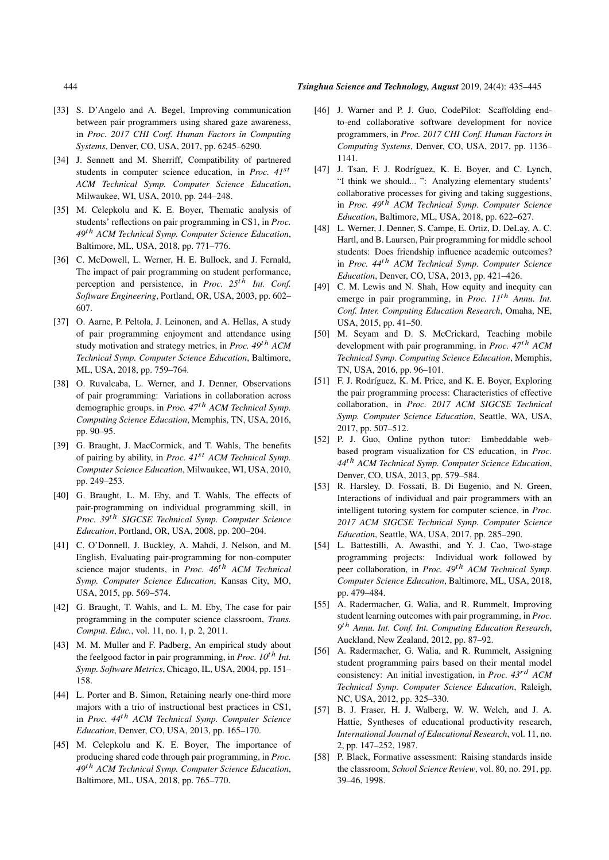- [33] S. D'Angelo and A. Begel, Improving communication between pair programmers using shared gaze awareness, in *Proc. 2017 CHI Conf. Human Factors in Computing Systems*, Denver, CO, USA, 2017, pp. 6245–6290.
- [34] J. Sennett and M. Sherriff, Compatibility of partnered students in computer science education, in *Proc. 41*st *ACM Technical Symp. Computer Science Education*, Milwaukee, WI, USA, 2010, pp. 244–248.
- [35] M. Celepkolu and K. E. Bover, Thematic analysis of students' reflections on pair programming in CS1, in *Proc. 49*th *ACM Technical Symp. Computer Science Education*, Baltimore, ML, USA, 2018, pp. 771–776.
- [36] C. McDowell, L. Werner, H. E. Bullock, and J. Fernald, The impact of pair programming on student performance, perception and persistence, in *Proc. 25*th *Int. Conf. Software Engineering*, Portland, OR, USA, 2003, pp. 602– 607.
- [37] O. Aarne, P. Peltola, J. Leinonen, and A. Hellas, A study of pair programming enjoyment and attendance using study motivation and strategy metrics, in *Proc. 49*th *ACM Technical Symp. Computer Science Education*, Baltimore, ML, USA, 2018, pp. 759–764.
- [38] O. Ruvalcaba, L. Werner, and J. Denner, Observations of pair programming: Variations in collaboration across demographic groups, in *Proc. 47*th *ACM Technical Symp. Computing Science Education*, Memphis, TN, USA, 2016, pp. 90–95.
- [39] G. Braught, J. MacCormick, and T. Wahls, The benefits of pairing by ability, in *Proc. 41*st *ACM Technical Symp. Computer Science Education*, Milwaukee, WI, USA, 2010, pp. 249–253.
- [40] G. Braught, L. M. Eby, and T. Wahls, The effects of pair-programming on individual programming skill, in *Proc. 39*th *SIGCSE Technical Symp. Computer Science Education*, Portland, OR, USA, 2008, pp. 200–204.
- [41] C. O'Donnell, J. Buckley, A. Mahdi, J. Nelson, and M. English, Evaluating pair-programming for non-computer science major students, in *Proc. 46*th *ACM Technical Symp. Computer Science Education*, Kansas City, MO, USA, 2015, pp. 569–574.
- [42] G. Braught, T. Wahls, and L. M. Eby, The case for pair programming in the computer science classroom, *Trans. Comput. Educ.*, vol. 11, no. 1, p. 2, 2011.
- [43] M. M. Muller and F. Padberg, An empirical study about the feelgood factor in pair programming, in *Proc. 10*th *Int. Symp. Software Metrics*, Chicago, IL, USA, 2004, pp. 151– 158.
- [44] L. Porter and B. Simon, Retaining nearly one-third more majors with a trio of instructional best practices in CS1, in *Proc. 44*th *ACM Technical Symp. Computer Science Education*, Denver, CO, USA, 2013, pp. 165–170.
- [45] M. Celepkolu and K. E. Boyer, The importance of producing shared code through pair programming, in *Proc. 49*th *ACM Technical Symp. Computer Science Education*, Baltimore, ML, USA, 2018, pp. 765–770.
- [46] J. Warner and P. J. Guo, CodePilot: Scaffolding endto-end collaborative software development for novice programmers, in *Proc. 2017 CHI Conf. Human Factors in Computing Systems*, Denver, CO, USA, 2017, pp. 1136– 1141.
- [47] J. Tsan, F. J. Rodríguez, K. E. Boyer, and C. Lynch, "I think we should... ": Analyzing elementary students' collaborative processes for giving and taking suggestions, in *Proc. 49*th *ACM Technical Symp. Computer Science Education*, Baltimore, ML, USA, 2018, pp. 622–627.
- [48] L. Werner, J. Denner, S. Campe, E. Ortiz, D. DeLay, A. C. Hartl, and B. Laursen, Pair programming for middle school students: Does friendship influence academic outcomes? in *Proc. 44*th *ACM Technical Symp. Computer Science Education*, Denver, CO, USA, 2013, pp. 421–426.
- [49] C. M. Lewis and N. Shah, How equity and inequity can emerge in pair programming, in *Proc. 11*th *Annu. Int. Conf. Inter. Computing Education Research*, Omaha, NE, USA, 2015, pp. 41–50.
- [50] M. Seyam and D. S. McCrickard, Teaching mobile development with pair programming, in *Proc. 47*th *ACM Technical Symp. Computing Science Education*, Memphis, TN, USA, 2016, pp. 96–101.
- [51] F. J. Rodríguez, K. M. Price, and K. E. Boyer, Exploring the pair programming process: Characteristics of effective collaboration, in *Proc. 2017 ACM SIGCSE Technical Symp. Computer Science Education*, Seattle, WA, USA, 2017, pp. 507–512.
- [52] P. J. Guo, Online python tutor: Embeddable webbased program visualization for CS education, in *Proc. 44*th *ACM Technical Symp. Computer Science Education*, Denver, CO, USA, 2013, pp. 579–584.
- [53] R. Harsley, D. Fossati, B. Di Eugenio, and N. Green, Interactions of individual and pair programmers with an intelligent tutoring system for computer science, in *Proc. 2017 ACM SIGCSE Technical Symp. Computer Science Education*, Seattle, WA, USA, 2017, pp. 285–290.
- [54] L. Battestilli, A. Awasthi, and Y. J. Cao, Two-stage programming projects: Individual work followed by peer collaboration, in *Proc. 49*th *ACM Technical Symp. Computer Science Education*, Baltimore, ML, USA, 2018, pp. 479–484.
- [55] A. Radermacher, G. Walia, and R. Rummelt, Improving student learning outcomes with pair programming, in *Proc. 9* th *Annu. Int. Conf. Int. Computing Education Research*, Auckland, New Zealand, 2012, pp. 87–92.
- [56] A. Radermacher, G. Walia, and R. Rummelt, Assigning student programming pairs based on their mental model consistency: An initial investigation, in *Proc. 43*rd *ACM Technical Symp. Computer Science Education*, Raleigh, NC, USA, 2012, pp. 325–330.
- [57] B. J. Fraser, H. J. Walberg, W. W. Welch, and J. A. Hattie, Syntheses of educational productivity research, *International Journal of Educational Research*, vol. 11, no. 2, pp. 147–252, 1987.
- [58] P. Black, Formative assessment: Raising standards inside the classroom, *School Science Review*, vol. 80, no. 291, pp. 39–46, 1998.